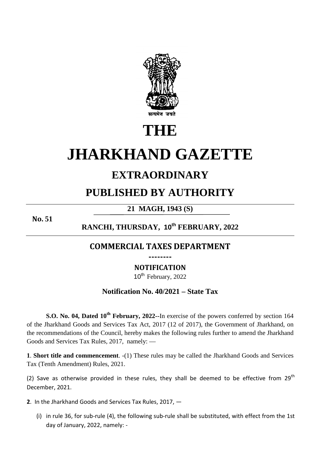

# **THE**

# **JHARKHAND GAZETTE**

# **EXTRAORDINARY**

# **PUBLISHED BY AUTHORITY**

# **21 MAGH, 1943 (S)**

**No. 51**

## **RANCHI, THURSDAY, 10th FEBRUARY, 2022**

### **COMMERCIAL TAXES DEPARTMENT --------**

## **NOTIFICATION**

10<sup>th</sup> February, 2022

#### **Notification No. 40/2021 – State Tax**

**S.O. No. 04, Dated 10th February, 2022--**In exercise of the powers conferred by section 164 of the Jharkhand Goods and Services Tax Act, 2017 (12 of 2017), the Government of Jharkhand, on the recommendations of the Council, hereby makes the following rules further to amend the Jharkhand Goods and Services Tax Rules, 2017, namely: —

**1**. **Short title and commencement**. -(1) These rules may be called the Jharkhand Goods and Services Tax (Tenth Amendment) Rules, 2021.

(2) Save as otherwise provided in these rules, they shall be deemed to be effective from 29<sup>th</sup> December, 2021.

**2**. In the Jharkhand Goods and Services Tax Rules, 2017, —

(i) in rule 36, for sub-rule (4), the following sub-rule shall be substituted, with effect from the 1st day of January, 2022, namely: -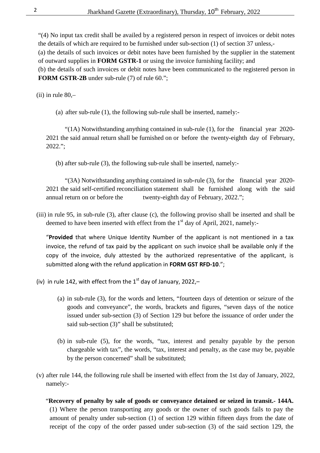"(4) No input tax credit shall be availed by a registered person in respect of invoices or debit notes the details of which are required to be furnished under sub-section (1) of section 37 unless,- (a) the details of such invoices or debit notes have been furnished by the supplier in the statement of outward supplies in **FORM GSTR-1** or using the invoice furnishing facility; and (b) the details of such invoices or debit notes have been communicated to the registered person in

**FORM GSTR-2B** under sub-rule (7) of rule 60.";

 $(ii)$  in rule 80,-

(a) after sub-rule (1), the following sub-rule shall be inserted, namely:-

 "(1A) Notwithstanding anything contained in sub-rule (1), for the financial year 2020- 2021 the said annual return shall be furnished on or before the twenty-eighth day of February, 2022.";

(b) after sub-rule (3), the following sub-rule shall be inserted, namely:-

 "(3A) Notwithstanding anything contained in sub-rule (3), for the financial year 2020- 2021 the said self-certified reconciliation statement shall be furnished along with the said annual return on or before the twenty-eighth day of February, 2022.";

(iii) in rule 95, in sub-rule (3), after clause (c), the following proviso shall be inserted and shall be deemed to have been inserted with effect from the  $1<sup>st</sup>$  day of April, 2021, namely:-

"**Provided** that where Unique Identity Number of the applicant is not mentioned in a tax invoice, the refund of tax paid by the applicant on such invoice shall be available only if the copy of the invoice, duly attested by the authorized representative of the applicant, is submitted along with the refund application in **FORM GST RFD-10**.";

(iv) in rule 142, with effect from the  $1<sup>st</sup>$  day of January, 2022,-

- (a) in sub-rule (3), for the words and letters, "fourteen days of detention or seizure of the goods and conveyance", the words, brackets and figures, "seven days of the notice issued under sub-section (3) of Section 129 but before the issuance of order under the said sub-section (3)" shall be substituted;
- (b) in sub-rule (5), for the words, "tax, interest and penalty payable by the person chargeable with tax", the words, "tax, interest and penalty, as the case may be, payable by the person concerned" shall be substituted;
- (v) after rule 144, the following rule shall be inserted with effect from the 1st day of January, 2022, namely:-

"**Recovery of penalty by sale of goods or conveyance detained or seized in transit.- 144A.**  (1) Where the person transporting any goods or the owner of such goods fails to pay the amount of penalty under sub-section (1) of section 129 within fifteen days from the date of receipt of the copy of the order passed under sub-section (3) of the said section 129, the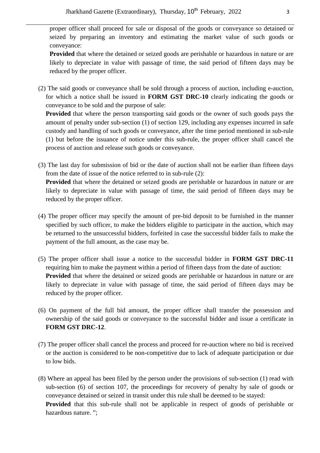proper officer shall proceed for sale or disposal of the goods or conveyance so detained or seized by preparing an inventory and estimating the market value of such goods or conveyance:

**Provided** that where the detained or seized goods are perishable or hazardous in nature or are likely to depreciate in value with passage of time, the said period of fifteen days may be reduced by the proper officer.

(2) The said goods or conveyance shall be sold through a process of auction, including e-auction, for which a notice shall be issued in **FORM GST DRC-10** clearly indicating the goods or conveyance to be sold and the purpose of sale:

 **Provided** that where the person transporting said goods or the owner of such goods pays the amount of penalty under sub-section (1) of section 129, including any expenses incurred in safe custody and handling of such goods or conveyance, after the time period mentioned in sub-rule (1) but before the issuance of notice under this sub-rule, the proper officer shall cancel the process of auction and release such goods or conveyance.

- (3) The last day for submission of bid or the date of auction shall not be earlier than fifteen days from the date of issue of the notice referred to in sub-rule (2):  **Provided** that where the detained or seized goods are perishable or hazardous in nature or are likely to depreciate in value with passage of time, the said period of fifteen days may be reduced by the proper officer.
- (4) The proper officer may specify the amount of pre-bid deposit to be furnished in the manner specified by such officer, to make the bidders eligible to participate in the auction, which may be returned to the unsuccessful bidders, forfeited in case the successful bidder fails to make the payment of the full amount, as the case may be.
- (5) The proper officer shall issue a notice to the successful bidder in **FORM GST DRC-11** requiring him to make the payment within a period of fifteen days from the date of auction:  **Provided** that where the detained or seized goods are perishable or hazardous in nature or are likely to depreciate in value with passage of time, the said period of fifteen days may be reduced by the proper officer.
- (6) On payment of the full bid amount, the proper officer shall transfer the possession and ownership of the said goods or conveyance to the successful bidder and issue a certificate in **FORM GST DRC-12**.
- (7) The proper officer shall cancel the process and proceed for re-auction where no bid is received or the auction is considered to be non-competitive due to lack of adequate participation or due to low bids.
- (8) Where an appeal has been filed by the person under the provisions of sub-section (1) read with sub-section (6) of section 107, the proceedings for recovery of penalty by sale of goods or conveyance detained or seized in transit under this rule shall be deemed to be stayed:  **Provided** that this sub-rule shall not be applicable in respect of goods of perishable or hazardous nature. ";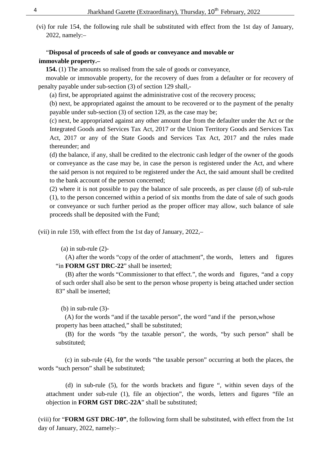(vi) for rule 154, the following rule shall be substituted with effect from the 1st day of January, 2022, namely:–

#### "**Disposal of proceeds of sale of goods or conveyance and movable or immovable property.–**

 **154.** (1) The amounts so realised from the sale of goods or conveyance,

 movable or immovable property, for the recovery of dues from a defaulter or for recovery of penalty payable under sub-section (3) of section 129 shall,-

(a) first, be appropriated against the administrative cost of the recovery process;

(b) next, be appropriated against the amount to be recovered or to the payment of the penalty payable under sub-section (3) of section 129, as the case may be;

(c) next, be appropriated against any other amount due from the defaulter under the Act or the Integrated Goods and Services Tax Act, 2017 or the Union Territory Goods and Services Tax Act, 2017 or any of the State Goods and Services Tax Act, 2017 and the rules made thereunder; and

(d) the balance, if any, shall be credited to the electronic cash ledger of the owner of the goods or conveyance as the case may be, in case the person is registered under the Act, and where the said person is not required to be registered under the Act, the said amount shall be credited to the bank account of the person concerned;

(2) where it is not possible to pay the balance of sale proceeds, as per clause (d) of sub-rule (1), to the person concerned within a period of six months from the date of sale of such goods or conveyance or such further period as the proper officer may allow, such balance of sale proceeds shall be deposited with the Fund;

(vii) in rule 159, with effect from the 1st day of January, 2022,–

 $(a)$  in sub-rule  $(2)$ -

 (A) after the words "copy of the order of attachment", the words, letters and figures "in **FORM GST DRC-22**" shall be inserted;

 (B) after the words "Commissioner to that effect.", the words and figures, "and a copy of such order shall also be sent to the person whose property is being attached under section 83" shall be inserted;

(b) in sub-rule  $(3)$ -

 (A) for the words "and if the taxable person", the word "and if the person,whose property has been attached," shall be substituted;

 (B) for the words "by the taxable person", the words, "by such person" shall be substituted;

 (c) in sub-rule (4), for the words "the taxable person" occurring at both the places, the words "such person" shall be substituted;

 (d) in sub-rule (5), for the words brackets and figure ", within seven days of the attachment under sub-rule (1), file an objection", the words, letters and figures "file an objection in **FORM GST DRC-22A**" shall be substituted;

(viii) for "**FORM GST DRC-10"**, the following form shall be substituted, with effect from the 1st day of January, 2022, namely:–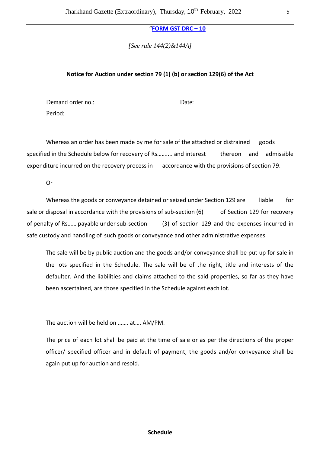"**FORM GST DRC – 10**

*[See rule 144(2)&144A]* 

#### **Notice for Auction under section 79 (1) (b) or section 129(6) of the Act**

Demand order no.: Date: Period:

Whereas an order has been made by me for sale of the attached or distrained goods specified in the Schedule below for recovery of Rs…….... and interest thereon and admissible expenditure incurred on the recovery process in accordance with the provisions of section 79.

Or

Whereas the goods or conveyance detained or seized under Section 129 are liable for sale or disposal in accordance with the provisions of sub-section  $(6)$  of Section 129 for recovery of penalty of Rs…… payable under sub-section (3) of section 129 and the expenses incurred in safe custody and handling of such goods or conveyance and other administrative expenses

The sale will be by public auction and the goods and/or conveyance shall be put up for sale in the lots specified in the Schedule. The sale will be of the right, title and interests of the defaulter. And the liabilities and claims attached to the said properties, so far as they have been ascertained, are those specified in the Schedule against each lot.

The auction will be held on ……. at…. AM/PM.

The price of each lot shall be paid at the time of sale or as per the directions of the proper officer/ specified officer and in default of payment, the goods and/or conveyance shall be again put up for auction and resold.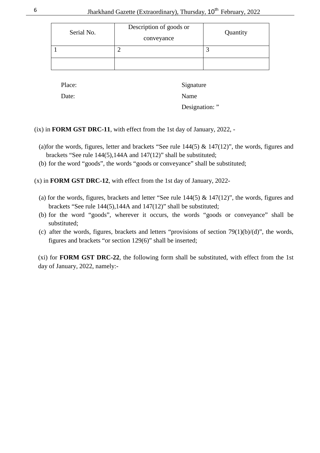| Serial No. | Description of goods or<br>conveyance | Quantity |
|------------|---------------------------------------|----------|
|            |                                       |          |
|            |                                       |          |

Place: Signature Date: Name Designation: "

(ix) in **FORM GST DRC-11**, with effect from the 1st day of January, 2022, -

- (a)for the words, figures, letter and brackets "See rule  $144(5)$  &  $147(12)$ ", the words, figures and brackets "See rule 144(5),144A and 147(12)" shall be substituted;
- (b) for the word "goods", the words "goods or conveyance" shall be substituted;
- (x) in **FORM GST DRC-12**, with effect from the 1st day of January, 2022-
	- (a) for the words, figures, brackets and letter "See rule  $144(5)$  &  $147(12)$ ", the words, figures and brackets "See rule 144(5),144A and 147(12)" shall be substituted;
	- (b) for the word "goods", wherever it occurs, the words "goods or conveyance" shall be substituted;
	- (c) after the words, figures, brackets and letters "provisions of section  $79(1)(b)/(d)$ ", the words, figures and brackets "or section 129(6)" shall be inserted;

(xi) for **FORM GST DRC-22**, the following form shall be substituted, with effect from the 1st day of January, 2022, namely:-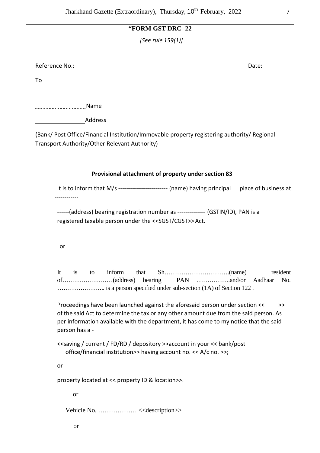#### **"FORM GST DRC -22**

*[See rule 159(1)]* 

Reference No.: Note: Note: Note: Note: Note: Note: Note: Note: Note: Note: Note: Note: Note: Note: Note: Note: Note: Note: Note: Note: Note: Note: Note: Note: Note: Note: Note: Note: Note: Note: Note: Note: Note: Note: Not

To

................................Name

Address

(Bank/ Post Office/Financial Institution/Immovable property registering authority/ Regional Transport Authority/Other Relevant Authority)

#### **Provisional attachment of property under section 83**

It is to inform that M/s --------------------------- (name) having principal place of business at ------------

------(address) bearing registration number as -------------- (GSTIN/ID), PAN is a registered taxable person under the <<SGST/CGST>> Act.

or

It is to inform that Sh………………………….(name) resident of……………………(address) bearing PAN …………….and/or Aadhaar No. ………………….. is a person specified under sub-section (1A) of Section 122 .

 Proceedings have been launched against the aforesaid person under section << >> of the said Act to determine the tax or any other amount due from the said person. As per information available with the department, it has come to my notice that the said person has a -

 <<saving / current / FD/RD / depository >>account in your << bank/post office/financial institution>> having account no. << A/c no. >>;

or

property located at << property ID & location>>.

or

Vehicle No. ……………… <<description>>

or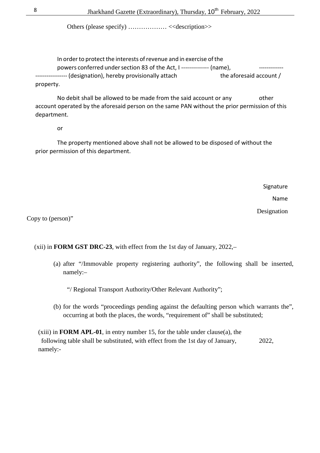Others (please specify) ……………… <<description>>

 In order to protect the interests of revenue and in exercise of the powers conferred under section 83 of the Act, I -------------- (name), ------- (designation), hereby provisionally attach the aforesaid account / property.

 No debit shall be allowed to be made from the said account or any other account operated by the aforesaid person on the same PAN without the prior permission of this department.

or

 The property mentioned above shall not be allowed to be disposed of without the prior permission of this department.

**Signature** 

Name

Designation

Copy to (person)"

(xii) in **FORM GST DRC-23**, with effect from the 1st day of January, 2022,–

(a) after "/Immovable property registering authority", the following shall be inserted, namely:–

"/ Regional Transport Authority/Other Relevant Authority";

(b) for the words "proceedings pending against the defaulting person which warrants the", occurring at both the places, the words, "requirement of" shall be substituted;

(xiii) in **FORM APL-01**, in entry number 15, for the table under clause(a), the following table shall be substituted, with effect from the 1st day of January, 2022, namely:-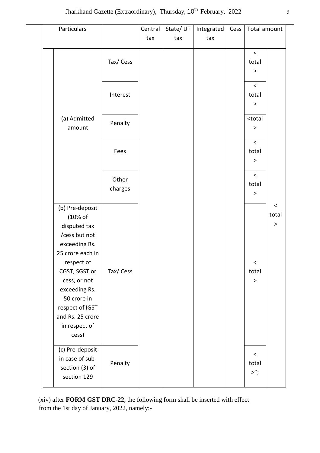| Particulars                         |          | Central | State/UT | Integrated | Cess | Total amount                     |                 |
|-------------------------------------|----------|---------|----------|------------|------|----------------------------------|-----------------|
|                                     |          | tax     | tax      | tax        |      |                                  |                 |
|                                     |          |         |          |            |      | $\,<$                            |                 |
|                                     | Tax/Cess |         |          |            |      | total                            |                 |
|                                     |          |         |          |            |      | $\, >$                           |                 |
|                                     |          |         |          |            |      | $\,<\,$                          |                 |
|                                     | Interest |         |          |            |      | total                            |                 |
|                                     |          |         |          |            |      | $\, >$                           |                 |
|                                     |          |         |          |            |      | <total< td=""><td></td></total<> |                 |
| (a) Admitted<br>amount              | Penalty  |         |          |            |      | $\, >$                           |                 |
|                                     |          |         |          |            |      |                                  |                 |
|                                     |          |         |          |            |      | $\,<\,$                          |                 |
|                                     | Fees     |         |          |            |      | total<br>$\rm{~}$                |                 |
|                                     |          |         |          |            |      |                                  |                 |
|                                     | Other    |         |          |            |      | $\,<\,$                          |                 |
|                                     | charges  |         |          |            |      | total                            |                 |
|                                     |          |         |          |            |      | $\, >$                           |                 |
| (b) Pre-deposit                     |          |         |          |            |      |                                  | $\,<$           |
| (10% of                             |          |         |          |            |      |                                  | total<br>$\, >$ |
| disputed tax                        |          |         |          |            |      |                                  |                 |
| /cess but not<br>exceeding Rs.      |          |         |          |            |      |                                  |                 |
| 25 crore each in                    |          |         |          |            |      |                                  |                 |
| respect of                          |          |         |          |            |      | $\,<$                            |                 |
| CGST, SGST or                       | Tax/Cess |         |          |            |      | total                            |                 |
| cess, or not                        |          |         |          |            |      | $\rm{~}$                         |                 |
| exceeding Rs.                       |          |         |          |            |      |                                  |                 |
| 50 crore in                         |          |         |          |            |      |                                  |                 |
| respect of IGST<br>and Rs. 25 crore |          |         |          |            |      |                                  |                 |
| in respect of                       |          |         |          |            |      |                                  |                 |
| cess)                               |          |         |          |            |      |                                  |                 |
|                                     |          |         |          |            |      |                                  |                 |
| (c) Pre-deposit                     |          |         |          |            |      | $\,<$                            |                 |
| in case of sub-<br>section (3) of   | Penalty  |         |          |            |      | total                            |                 |
| section 129                         |          |         |          |            |      | >";                              |                 |
|                                     |          |         |          |            |      |                                  |                 |

(xiv) after **FORM GST DRC-22**, the following form shall be inserted with effect from the 1st day of January, 2022, namely:-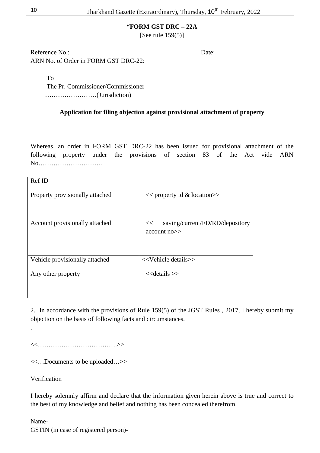**"FORM GST DRC – 22A** 

[See rule 159(5)]

Reference No.: Date: ARN No. of Order in FORM GST DRC-22:

To

 The Pr. Commissioner/Commissioner ……………………(Jurisdiction)

#### **Application for filing objection against provisional attachment of property**

Whereas, an order in FORM GST DRC-22 has been issued for provisional attachment of the following property under the provisions of section 83 of the Act vide ARN No…………………………

| Ref ID                          |                                                           |
|---------------------------------|-----------------------------------------------------------|
| Property provisionally attached | $<<$ property id & location $>>$                          |
| Account provisionally attached  | saving/current/FD/RD/depository<br><<<br>$account no \ge$ |
| Vehicle provisionally attached  | < <vehicle details="">&gt;</vehicle>                      |
| Any other property              | $<<$ details $>>$                                         |

2. In accordance with the provisions of Rule 159(5) of the JGST Rules , 2017, I hereby submit my objection on the basis of following facts and circumstances.

<<……………………………….>>

<<…Documents to be uploaded…>>

Verification

.

I hereby solemnly affirm and declare that the information given herein above is true and correct to the best of my knowledge and belief and nothing has been concealed therefrom.

Name-

GSTIN (in case of registered person)-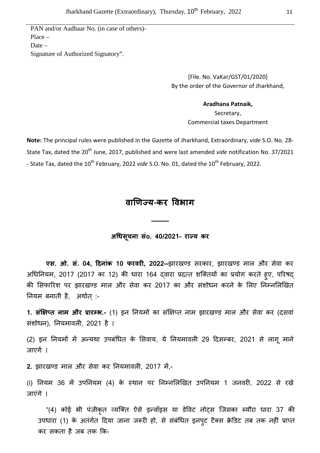PAN and/or Aadhaar No. (in case of others)- Place – Date – Signature of Authorized Signatory".

> [File. No. VaKar/GST/01/2020] By the order of the Governor of Jharkhand,

#### **Aradhana Patnaik,**

Secretary, Commercial taxes Department

**Note:** The principal rules were published in the Gazette of Jharkhand, Extraordinary, *vide* S.O. No. 28- State Tax, dated the 20<sup>th</sup> June, 2017, published and were last amended *vide* notification No. 37/2021 - State Tax, dated the 10<sup>th</sup> February, 2022 *vide* S.O. No. 01, dated the 10<sup>th</sup> February, 2022.

## **वाणय**-**कर वभाग**

**अधसूचना संo. 40/2021- रा य कर** 

**--------** 

**एस. ओ. सं. 04, दिनांक 10 फरवरी, 2022--**झारखण्ड सरकार, झारखण्ड माल और सेवा कर अधिनियम, 2017 (2017 का 12) की धारा 164 दवारा प्रदत्त शक्तियों का प्रयोग करते हूए, परिषद् की सिफारिश पर झारखण्ड माल और सेवा कर 2017 का और संशोधन करने के लिए निम्नलिखित नियम बनाती है, अर्थात् :-

1. **संक्षिप्त नाम और प्रारम्भ.-** (1) इन नियमों का संक्षिप्त नाम झारखण्ड माल और सेवा कर (दसवां संशोधन), नियमावली, 2021 है ।

(2) इन नियमों में अन्यथा उपबंधित के सिवाय, ये नियमावली 29 दिसम्बर, 2021 से लागू माने जाएगें ।

**2.** झारखण्ड माल और सेवा कर नियमावली, 2017 में,-

(i) नियम 36 में उपनियम (4) के स्थान पर निम्नलिखित उपनियम 1 जनवरी, 2022 से रखे जाएंगे ।

"(4) कोई भी पंजीकृत व्यक्ति ऐसे इन्वॉइस या डेविट नोट्स जिसका ब्यौरा धारा 37 की उपधारा (1) के अतंर्गत दिया जाना जरूरी हो, से संबंधित इनपुट टैक्स क्रेडिट तब तक नहीं प्राप्त कर सकता है जब तक \क-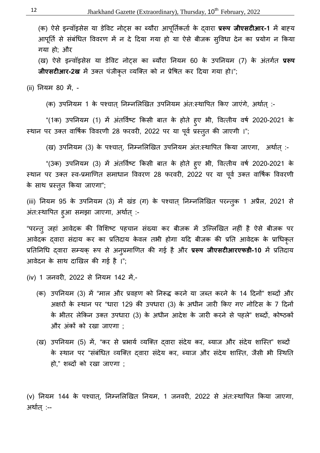(क) ऐसे इन्वॉइसेस या डेविट नोट्स का ब्यौरा आपूर्तिकर्ता के दवारा **प्ररूप जीएसटीआर-1** में बाह्य आपूर्ति से संबंधित विवरण में न दे दिया गया हो या ऐसे बीजक सुविधा देन का प्रयोग न किया गया हो; और

(ख) ऐसे इन्वॉइसेस या डेविट नोट्स का ब्यौरा नियम 60 के उपनियम (7) के अंतर्गत **प्ररूप जीएसटीआर-2ख** में उक्त पंजीकृत व्यक्ति को न प्रेषित कर दिया गया हो।";

(ii) नियम 80 में, -

(क) उपनियम 1 के पश्चात् निम्नलिखित उपनियम अंत:स्थापित किए जाएंगे, अर्थात् :-

"(1क) उपनियम (1) में अंतर्विष्ट किसी बात के होते हुए भी, वित्तीय वर्ष 2020-2021 के स्थान पर उक्त वार्षिक विवरणी 28 फरवरी, 2022 पर या पूर्व प्रस्तुत की जाएगी ।";

(ख) उपनियम (3) के पश्चात्, निम्नलिखित उपनियम अंत:स्थापित किया जाएगा, अर्थात् :-

"(3क) उपनियम (3) में अंतर्विष्ट किसी बात के होते हुए भी, वित्तीय वर्ष 2020-2021 के स्थान पर उक्त स्व-प्रमाणित समाधान विवरण 28 फरवरी, 2022 पर या पूर्व उक्त वार्षिक विवरणी के साथ प्रस्तुत किया जाए<mark>गा</mark>";

(iii) नियम 95 के उपनियम (3) में खंड (ग) के पश्चात् निम्नलिखित परन्त़्क 1 अप्रैल, 2021 से अंत:स्थापित हुआ समझा जाएगा, अर्थात् :-

"परन्त् जहां आवेदक की विशिष्ट पहचान संख्या कर बीजक में उल्लिखित नहीं है ऐसे बीजक पर आवेदक दवारा संदाय कर का प्रतिदाय केवल तभी होगा यदि बीजक की प्रति आवेदक के प्राधिकृत प्रतिनिधि दवारा सम्यक् रूप से अनुप्रमाणित की गई है और प्र**रूप जीएसटीआरएफडी-10** में प्रतिदाय आवेदन के साथ दाखिल की गई है ।";

(iv) 1 जनवरी, 2022 से नियम 142 में,-

- (क) उपनियम (3) में "माल और प्रवहण को निरूद्ध करने या जब्त करने के 14 दिनों" शब्दों और अक्षरों के स्थान पर "धारा 129 की उपधारा (3) के अधीन जारी किए गए नोटिस के 7 दिनों के भीतर लेकिन उक्त उपधारा (3) के अधीन आदेश के जारी करने से पहले" शब्दों, कोष्ठकों और अंकों को रखा जाएगा ;
- (ख) उपनियम (5) में, "कर से प्रभार्य व्यक्ति दवारा संदेय कर, ब्याज और संदेय शास्ति" शब्दों के स्थान पर "संबंधित व्यक्ति दवारा संदेय कर, ब्याज और संदेय शास्ति, जैसी भी स्थिति हो," शब्दों को रखा जाएगा ;

(v) नियम 144 के पश्चात, निम्नलिखित नियम, 1 जनवरी, 2022 से अंत:स्थापित किया जाएगा, अर्थात् :--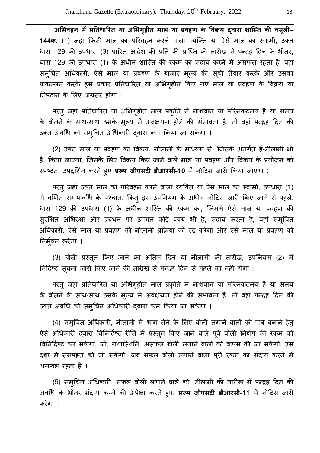"अभिवहन में प्रतिधारित या अभिगृहीत माल या प्रवहण के विक्रय द्**वारा शास्ति की वस्**ली— 1**44क.** (1) जहां किसी माल का परिवहन करने वाला व्यक्ति या ऐसे माल का स्वामी, उक्त धारा 129 की उपधारा (3) पारित आदेश की प्रति की प्राप्ति की तारीख से पन्द्रह दिन के भीतर, धारा 129 की उपधारा (1) के अधीन शास्ति की रकम का संदाय करने में असफल रहता है, वहां समुचित अधिकारी, ऐसे माल या प्रवहण के बाजार मूल्य की सूची तैयार करके और उसका प्राकल्लन करके इस प्रकार प्रतिधारित या अभिगृहीत किए गए माल या प्रवहण के विक्रय या नपटान के 1लए अnसर होगा :

परंतु जहां प्रतिधारित या अभिगृहीत माल प्रकृति में नाशवान या परिसंकटमय है या समय के बीतने के साथ-साथ उसके मूल्य में अवक्षयण होने की संभावना है, तो वहां पन्द्रह दिन की उक्त अवधि को समुचित अधिकारी द्वारा कम किया जा सकेगा ।

(2) उक्त माल या प्रवहण का विक्रय, नीलामी के माध्यम से, जिसके अंतर्गत ई-नीलामी भी है, किया जाएगा, जिसके लिए विक्रय किए जाने वाले माल या प्रवहण और विक्रय के प्रयोजन को स्पष्टत: उपदर्शित करते हुए **प्ररूप जीएसटी डीआरसी-10** में नोटिस जारी किया जाएगा :

परंत् जहां उक्त माल का परिवहन करने वाला व्यक्ति या ऐसे माल का स्वामी, उपधारा (1) में वर्णित समयावधि के पश्चात्, किंतू इस उपनियम के अधीन नोटिस जारी किए जाने से पहले, धारा 129 की उपधारा (1) के अधीन शास्ति की रकम का, जिसमें ऐसे माल या प्रवहण की सुरक्षित अभिरक्षा और प्रबंधन पर उपगत कोई व्यय भी है, संदाय करता है, वहां समुचित अधिकारी, ऐसे माल या प्रवहण की नीलामी प्रक्रिया को रद्द करेगा और ऐसे माल या प्रवहण को निर्मुक्त करेगा ।

(3) बोली प्रस्तुत किए जाने का अंतिम दिन या नीलामी की तारीख, उपनियम (2) में निर्दिष्ट सूचना जारी किए जाने की तारीख से पन्द्रह दिन से पहले का नहीं होगा :

परंतु जहां प्रतिधारित या अभिगृहीत माल प्रकृति में नाशवान या परिसंकटमय है या समय के बीतने के साथ-साथ उसके मूल्य में अवक्षयण होने की संभावना है, तो वहां पन्द्रह दिन की उक्त अवधि को समुचित अधिकारी द्वारा कम किया जा सकेगा ।

(4) समुचित अधिकारी, नीलामी में भाग लेने के लिए बोली लगाने वालों को पात्र बनाने हेत् ऐसे अधिकारी द्वारा विनिर्दिष्ट रीति में प्रस्तुत किए जाने वाले पूर्व बोली निक्षेप की रकम को विनिर्दिष्ट कर सकेगा, जो, यथास्थिति, असफल बोली लगाने वालों को वापस की जा सकेगी, उस दशा में समपह़त की जा सकेगी, जब सफल बोली लगाने वाला पूरी रकम का संदाय करने में असफल रहता है ।

(5) समुचित अधिकारी, सफल बोली लगाने वाले को, नीलामी की तारीख से पन्द्रह दिन की अवधि के भीतर संदाय करने की अपेक्षा करते हुए, **प्ररूप जीएसटी डीआरसी-11** में नोटिस जारी करेगा :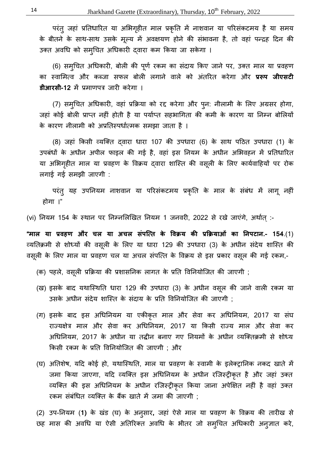14 Jharkhand Gazette (Extraordinary), Thursday, 10<sup>th</sup> February, 2022

परंतु जहां प्रतिधारित या अभिगृहीत माल प्रकृति में नाशवान या परिसंकटमय है या समय के बीतने के साथ-साथ उसके मूल्य में अवक्षयण होने की संभावना है, तो वहां पन्द्रह दिन की उक्त अवधि को समुचित अधिकारी दवारा कम किया जा सकेगा ।

(6) समुचित अधिकारी, बोली की पूर्ण रकम का संदाय किए जाने पर, उक्त माल या प्रवहण का स्वामित्व और कब्जा सफल बोली लगाने वाले को अंतरित करेगा और **प्ररूप जीएसटी डीआरसी-12** में प्रमाणपत्र जारी करेगा ।

(7) समुचित अधिकारी, वहां प्रक्रिया को रद्द करेगा और पुन: नीलामी के लिए अग्रसर होगा, जहां कोई बोली प्राप्त नहीं होती है या पर्याप्त सहभागिता की कमी के कारण या निम्न बोलियों के कारण नीलामी को अप्रतिस्पर्धात्मक समझा जाता है ।

(8) जहां किसी व्यक्ति दवारा धारा 107 की उपधारा (6) के साथ पठित उपधारा (1) के उपबंधों के अधीन अपील फाइल की गई है, वहां इस नियम के अधीन अभिवहन में प्रतिधारित या अभिगृहीत माल या प्रवहण के विक्रय दवारा शास्ति की वसूली के लिए कार्यवाहियों पर रोक लगाई गई समझी जाएगी :

परंतु यह उपनियम नाशवान या परिसंकटमय प्रकृति के माल के संबंध में लागू नहीं होगा ।"

(vi) नियम 154 के स्थान पर निम्नलिखित नियम 1 जनवरी, 2022 से रखे जाएंगे, अर्थात् :-

**"माल या प्रवहण और चल या अचल संपत्ति के विक्रय की प्रक्रियाओं का निपटान.- 154**.(1) व्यतिक्रमी से शोध्यों की वसूली के लिए या धारा 129 की उपधारा (3) के अधीन संदेय शास्ति की वसूली के लिए माल या प्रवहण चल या अचल संपत्ति के विक्रय से इस प्रकार वसूल की गई रकम,-

- (क) पहले, वसूली प्रक्रिया की प्रशासनिक लागत के प्रति विनियोजित की जाएगी ;
- (ख) इसके बाद यथास्थिति धारा 129 की उपधारा (3) के अधीन वसूल की जाने वाली रकम या उसके अधीन संदेय शास्ति के संदाय के प्रति विनियोजित की जाएगी ;
- (ग) इसके बाद इस अधिनियम या एकीकृत माल और सेवा कर अधिनियम, 2017 या संघ राज्यक्षेत्र माल और सेवा कर अधिनियम, 2017 या किसी राज्य माल और सेवा कर अधिनियम, 2017 के अधीन या तद्धीन बनाए गए नियमों के अधीन व्यक्तिक्रमी से शोध्य किसी रकम के प्रति विनियोजित की जाएगी ; और
- (घ) अतिशेष, यदि कोई हो, यथास्थिति, माल या प्रवहण के स्वामी के इलेक्ट्रानिक नकद खाते में जमा किया जाएगा, यदि व्यक्ति इस अधिनियम के अधीन रजिस्ट्रीकृत है और जहां उक्त व्यक्ति की इस अधिनियम के अधीन रजिस्ट्रीकृत किया जाना अपेक्षित नहीं है वहां उक्त रकम संबंधित व्यक्ति के बैंक खाते में जमा की जाएगी :

(2) उप-नियम (1) के खंड (घ) के अनुसार, जहां ऐसे माल या प्रवहण के विक्रय की तारीख से छह मास की अवधि या ऐसी अतिरिक्त अवधि के भीतर जो समुचित अधिकारी अनुज्ञात करे,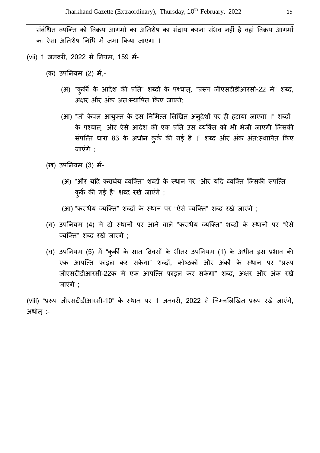संबंधित व्यक्ति को विक्रय आगमो का अतिशेष का संदाय करना संभव नहीं है वहां विक्रय आगमों का ऐसा अतिशेष निधि में जमा किया जाएगा ।

- (vii) 1 जनवरी, 2022 से नियम, 159 में-
	- (क) उपनियम (2) में,-
		- (अ) "कुर्की के आदेश की प्रति" शब्दों के पश्चात्, "प्ररूप जीएसटीडीआरसी-22 में" शब्द, अक्षर और अंक अंत:स्थापित किए जाएंगे:
		- (आ) "जो केवल आयुक्त के इस निमित्त लिखित अनुदेशों पर ही हटाया जाएगा ।" शब्दों के पश्चात "और ऐसे आदेश की एक प्रति उस व्यक्ति को भी भेजी जाएगी जिसकी संपत्ति धारा 83 के अधीन कुर्क की गई है ।" शब्द और अंक अंत:स्थापित किए जाएंगे ;
	- (ख) उपनियम (3) में-
		- (अ) "और यदि कराधेय व्यक्ति" शब्दों के स्थान पर "और यदि व्यक्ति जिसकी संपत्ति कुर्क की गई है" शब्द रखे जाएंगे ;
		- (आ) "कराधेय व्यक्ति" शब्दों के स्थान पर "ऐसे व्यक्ति" शब्द रखे जाएंगे ;
	- (ग) उपनियम (4) में दो स्थानों पर आने वाले "कराधेय व्यक्ति" शब्दों के स्थानों पर "ऐसे Q यि' त" शW द रखे जाएंगे ;
	- (घ) उपनियम (5) में "कुर्की के सात दिवसों के भीतर उपनियम (1) के अधीन इस प्रभाव की एक आपत्ति फाइल कर सकेगा" शब्दों, कोष्ठकों और अंकों के स्थान पर "प्ररूप जीएसटीडीआरसी-22क में एक आपत्ति फाइल कर सकेगा" शब्द, अक्षर और अंक रखे जाएंगे ;

(viii) "प्ररूप जीएसटीडीआरसी-10" के स्थान पर 1 जनवरी, 2022 से निम्नलिखित प्ररूप रखे जाएंगे, अर्थात् :-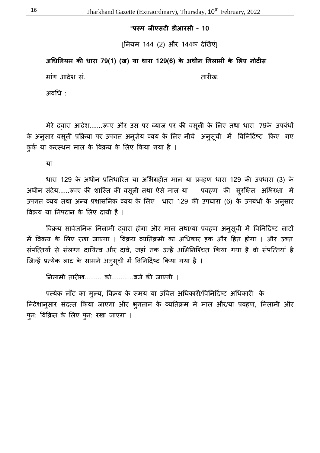"प्ररूप जीएसटी डीआरसी - 10

[नयम 144 (2) और 144क दे5खएं]

अधिनियम की धारा 79(1) (ख) या धारा 129(6) के अधीन निलामी के लिए नोटी**स** 

मांग आदेश सं. तारीख: तारीख:

अवध :

मेरे दवारा आदेश.......रुपए और उस पर ब्याज पर की वसूली के लिए तथा धारा 79के उपबंधों के अनुसार वसूली प्रक्रिया पर उपगत अनुजेय व्यय के लिए नीचे अनुसूची में विनिर्दिष्ट किए गए कुर्क या करस्थम माल के विक्रय के लिए किया गया है ।

या

धारा 129 के अधीन प्रतिधारित या अभिग्रहीत माल या प्रवहण धारा 129 की उपधारा (3) के अधीन संदेय......रुपए की शास्ति की वसूली तथा ऐसे माल या स्प्रवहण की सुरक्षित अभिरक्षा में उपगत व्यय तथा अन्य प्रशासनिक व्यय के लिए धारा 129 की उपधारा (6) के उपबंधों के अनुसार विक्रय या निपटान के लिए दायी है ।

विक्रय सार्वजनिक निलामी दवारा होगा और माल तथा/या प्रवहण अनुसूची में विनिर्दिष्ट लाटों में विक्रय के लिए रखा जाएगा । विक्रय व्यतिक्रमी का अधिकार हक और हित होगा । और उक्त संपत्तियों से संलग्न दायित्व और दावे, जहां तक उन्हें अभिनिश्चित किया गया है वो संपत्तियां है जिन्हें प्रत्येक लाट के सामने अनुसूची में विनिर्दिष्ट किया गया है ।

निलामी तारीख......... को............बजे की जाएगी ।

प्रत्येक लॉट का मुल्य, विक्रय के समय या उचित अधिकारी/विनिर्दिष्ट अधिकारी के निदेशानुसार संदत्त किया जाएगा और भुगतान के व्यतिक्रम में माल और/या प्रवहण, निलामी और पुन: विक्रित के लिए पुन: रखा जाएगा ।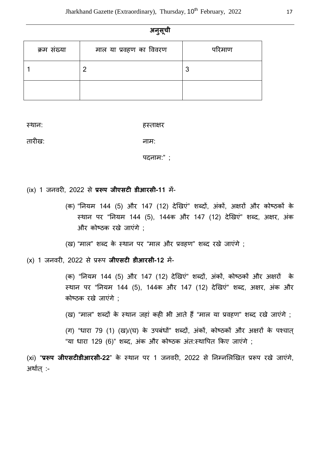|   | ۰. |  |
|---|----|--|
| ٠ |    |  |
|   |    |  |
|   |    |  |

| क्रम संख्या | माल या प्रवहण का विवरण | परिमाण |
|-------------|------------------------|--------|
|             |                        | 3      |
|             |                        |        |

स्थान: स्थान: इस्ताक्षर कर

तारAख: नाम:

पदनाम:" ;

(ix) 1 जनवरी, 2022 से **प्ररूप जीएसटी डीआरसी-11** में-

(क) "नियम 144 (5) और 147 (12) देखिएं" शब्दों, अंकों, अक्षरों और कोष्ठकों के स्थान पर "नियम 144 (5), 144क और 147 (12) देखिएं" शब्द, अक्षर, अंक और कोष्ठक रखे जाएंगे :

(ख) "माल" शब्द के स्थान पर "माल और प्रवहण" शब्द रखे जाएंगे ;

(x) 1 जनवरी, 2022 से प्ररूप **जीएसटी डीआरसी-12** में-

(क) "नियम 144 (5) और 147 (12) देखिएं" शब्दों, अंकों, कोष्ठकों और अक्षरों के स्थान पर "नियम 144 (5), 144क और 147 (12) देखिएं" शब्द, अक्षर, अंक और कोe ठक रखे जाएंगे ;

(ख) "माल" शब्दों के स्थान जहां कही भी आते हैं "माल या प्रवहण" शब्द रखे जाएंगे ;

(ग) "धारा 79 (1) (ख)/(घ) के उपबंधों" शब्दों, अंकों, कोष्ठकों और अक्षरों के पश्चात "या धारा 129 (6)" शब्द, अंक और कोष्ठक अंत:स्थापित किए जाएंगे ;

(xi) "**प्ररूप जीएसटीडीआरसी-22**" के स्थान पर 1 जनवरी, 2022 से निम्नलिखित प्ररूप रखे जाएंगे, अर्थात :-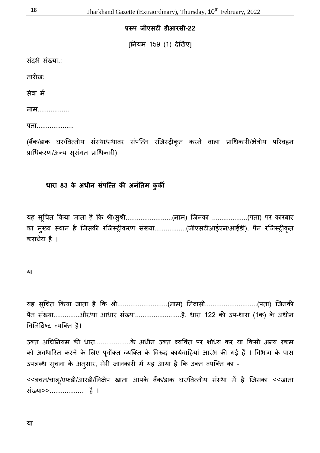### प्ररूप जीएसटी डीआरसी-22

[नयम 159 (1) दे5खए]

संदर्भ संख्या.:

तारीख:

सेवा में

नाम.................

पता..................

(बैंक/डाक घर/वित्तीय संस्था/स्थावर संपत्ति रजिस्ट्रीकृत करने वाला प्राधिकारी/क्षेत्रीय परिवहन प्राधिकरण/अन्य सूसंगत प्राधिकारी)

#### **धारा 83 के अधीन संपत्ति की अनंतिम कुर्की**

यह सूचित किया जाता है कि श्री/सुश्री.........................(नाम) जिनका ...................(पता) पर कारबार का मुख्य स्थान है जिसकी रजिस्ट्रीकरण संख्या..................(जीएसटीआईएन/आईडी), पैन रजिस्ट्रीकृत कराधेय है ।

#### या

यह सूचित किया जाता है कि श्री...........................(नाम) निवासी.............................(पता) जिनकी पैन संख्या.............और/या आधार संख्या..........................है, धारा 122 की उप-धारा (1क) के अधीन विनिर्दिष्ट व्यक्ति है।

उक्त अधिनियम की धारा...................के अधीन उक्त व्यक्ति पर शोध्य कर या किसी अन्य रकम को अवधारित करने के लिए पूर्वोक्त व्यक्ति के विरूद्ध कार्यवाहियां आरंभ की गई हैं । विभाग के पास उपलब्ध सूचना के अनुसार, मेरी जानकारी में यह आया है कि उक्त व्यक्ति का -

<<बचत/चालू/एफडी/आरडी/निक्षेप खाता आपके बैंक/डाक घर/वित्तीय संस्था में है जिसका <<खाता संgया>>.................. है ।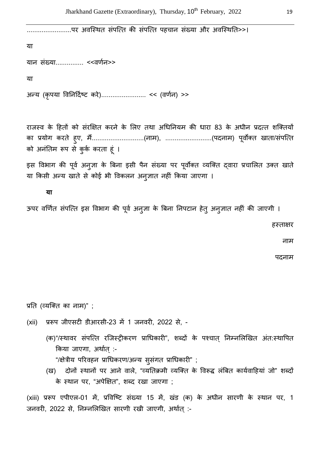......................पर अवस्थित संपत्ति की संपत्ति पहचान संख्या और अवस्थिति>>।

या

यान संख्या................ <<वर्णन>>

या

31न्य (कृपया विनिर्दिष्ट करे)............................<< (वर्णन) >>

राजस्व के हितों को संरक्षित करने के लिए तथा अधिनियम की धारा 83 के अधीन प्रदत्त शक्तियों का प्रयोग करते हुए, मैं...........................(नाम), ..........................(पदनाम) पूर्वोक्त खाता/संपत्ति को अनंतिम रूप से कुर्क करता हूं ।

इस विभाग की पूर्व अनुज्ञा के बिना इसी पैन संख्या पर पूर्वोक्त व्यक्ति द्वारा प्रचालित उक्त खाते या किसी अन्य खाते से कोई भी विकलन अनुज्ञात नहीं किया जाएगा ।

**या** 

ऊपर वर्णित संपत्ति इस विभाग की पूर्व अनुज्ञा के बिना निपटान हेतू अनुज्ञात नहीं की जाएगी ।

हस्ताक्षर

नाम

पदनाम

प्रति (व्यक्ति का नाम)" ;

- (xii) प्ररूप जीएसटी डीआरसी-23 में 1 जनवरी, 2022 से, -
	- (क)"/स्थावर संपत्ति रजिस्ट्रीकरण प्राधिकारी", शब्दों के पश्चात् निम्नलिखित अंत:स्थापित किया जाएगा, अर्थात् :-

"/क्षेत्रीय परिवहन प्राधिकरण/अन्य सूसंगत प्राधिकारी" ;

(ख) दोनों स्थानों पर आने वाले, "व्यतिक्रमी व्यक्ति के विरूद्ध लंबित कार्यवाहियां जो" शब्दों के स्थान पर, "अपेक्षित", शब्द रखा जाएगा ;

(xiii) प्ररूप एपीएल-01 में, प्रविष्टि संख्या 15 में, खंड (क) के अधीन सारणी के स्थान पर, 1 जनवरी, 2022 से, निम्नलिखित सारणी रखी जाएगी, अर्थात :-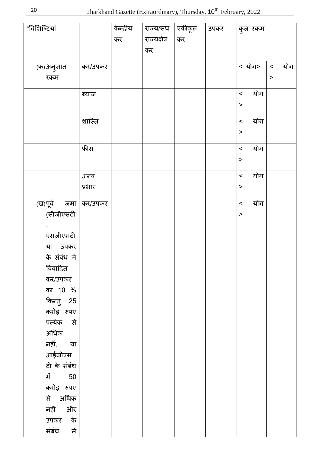| "विशिष्टियां         |         | केन्द्रीय | राज्य/संघ    | एकीकृत | उपकर |                |              |
|----------------------|---------|-----------|--------------|--------|------|----------------|--------------|
|                      |         |           | राज्यक्षेत्र |        |      | कुल रकम        |              |
|                      |         | कर        |              | कर     |      |                |              |
|                      |         |           | कर           |        |      |                |              |
| (क)अनुज्ञात          | कर/उपकर |           |              |        |      | < योग>         | योग<br>$\,<$ |
| रकम                  |         |           |              |        |      |                | $\geq$       |
|                      |         |           |              |        |      |                |              |
|                      | ब्याज   |           |              |        |      | योग<br>$\,<$   |              |
|                      |         |           |              |        |      | $\,$           |              |
|                      |         |           |              |        |      |                |              |
|                      | शास्ति  |           |              |        |      | योग<br>$\prec$ |              |
|                      |         |           |              |        |      | $\geq$         |              |
|                      | फीस     |           |              |        |      | योग<br>$\prec$ |              |
|                      |         |           |              |        |      | $\,$           |              |
|                      |         |           |              |        |      |                |              |
|                      | अन्य    |           |              |        |      | योग<br>$\,<$   |              |
|                      | प्रभार  |           |              |        |      | $\geq$         |              |
| (ख)पूर्व जमा कर/उपकर |         |           |              |        |      | योग<br>$\,<$   |              |
| (सीजीएसटी            |         |           |              |        |      | $\geq$         |              |
| $\bullet$            |         |           |              |        |      |                |              |
| एसजीएसटी             |         |           |              |        |      |                |              |
| या उपकर              |         |           |              |        |      |                |              |
| के संबंध में         |         |           |              |        |      |                |              |
| विवादित              |         |           |              |        |      |                |              |
| कर/उपकर              |         |           |              |        |      |                |              |
| का 10 %              |         |           |              |        |      |                |              |
|                      |         |           |              |        |      |                |              |
| किन्तु 25            |         |           |              |        |      |                |              |
| करोड़ रुपए           |         |           |              |        |      |                |              |
| प्रत्येक से          |         |           |              |        |      |                |              |
| अधिक                 |         |           |              |        |      |                |              |
| नहीं, या             |         |           |              |        |      |                |              |
| आईजीएस               |         |           |              |        |      |                |              |
| टी के संबंध          |         |           |              |        |      |                |              |
| में 50               |         |           |              |        |      |                |              |
| करोड़ रुपए           |         |           |              |        |      |                |              |
| से अधिक              |         |           |              |        |      |                |              |
| नहीं और              |         |           |              |        |      |                |              |
| उपकर के              |         |           |              |        |      |                |              |
| संबंध<br>में         |         |           |              |        |      |                |              |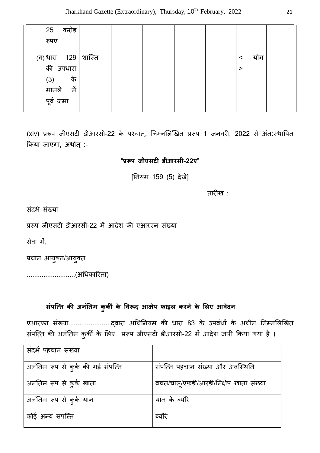| 25<br>करोड़                                |  |  |                |  |
|--------------------------------------------|--|--|----------------|--|
| रुपए                                       |  |  |                |  |
|                                            |  |  |                |  |
|                                            |  |  | योग<br>$\,<\,$ |  |
| (ग) धारा     129   शास्ति ।<br>की   उपधारा |  |  | >              |  |
| के<br>(3)                                  |  |  |                |  |
| में                                        |  |  |                |  |
| मामले<br>पूर्व जमा                         |  |  |                |  |

(xiv) प्ररूप जीएसटी डीआरसी-22 के पश्चात्, निम्नलिखित प्ररूप 1 जनवरी, 2022 से अंत:स्थापित किया जाएगा, अर्थात् :-

#### "**\*,प जीएसट# डीआरसी-22ए**"

[नयम 159 (5) देखे]

तारीख $\cdot$ 

संदर्भ संख्या

प्ररूप जीएसटी डीआरसी-22 में आदेश की एआरएन संख्या

सेवा में.

प्रधान आयुक्त/आयुक्त

..........................(अधका/रता)

#### संपत्ति की अनंतिम कुकी के विरूद्ध आक्षेप फाइल करने के लिए आवेदन

एआरएन संgया....................... वारा अधनयम क धारा 83 के उपबंध( के अधीन न4न1ल5खत संपत्ति की अनंतिम कुर्की के लिए प्ररूप जीएसटी डीआरसी-22 में आदेश जारी किया गया है ।

| संदर्भ पहचान संख्या               |                                        |
|-----------------------------------|----------------------------------------|
| अनंतिम रूप से कुर्क की गई संपत्ति | संपत्ति पहचान संख्या और अवस्थिति       |
| अनंतिम रूप से कुर्क खाता          | बचत/चालू/एफडी/आरडी/निक्षेप खाता संख्या |
| अनंतिम रूप से कुर्क यान           | यान के ब्यौरे                          |
| कोई अन्य संपत्ति                  | ब्यौरे                                 |